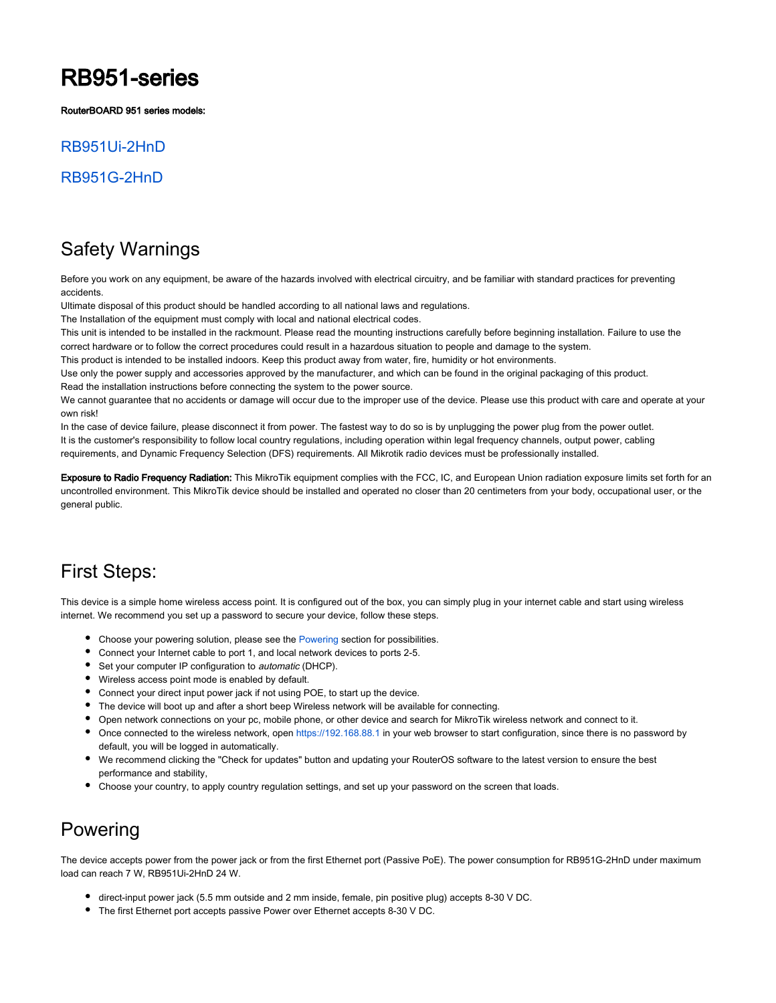# RB951-series

RouterBOARD 951 series models:

### [RB951Ui-2HnD](https://mikrotik.com/product/RB951Ui-2HnD)

### [RB951G-2HnD](https://mikrotik.com/product/RB951G-2HnD)

### Safety Warnings

Before you work on any equipment, be aware of the hazards involved with electrical circuitry, and be familiar with standard practices for preventing accidents.

Ultimate disposal of this product should be handled according to all national laws and regulations.

The Installation of the equipment must comply with local and national electrical codes.

This unit is intended to be installed in the rackmount. Please read the mounting instructions carefully before beginning installation. Failure to use the correct hardware or to follow the correct procedures could result in a hazardous situation to people and damage to the system.

This product is intended to be installed indoors. Keep this product away from water, fire, humidity or hot environments.

Use only the power supply and accessories approved by the manufacturer, and which can be found in the original packaging of this product.

Read the installation instructions before connecting the system to the power source.

We cannot guarantee that no accidents or damage will occur due to the improper use of the device. Please use this product with care and operate at your own risk!

In the case of device failure, please disconnect it from power. The fastest way to do so is by unplugging the power plug from the power outlet. It is the customer's responsibility to follow local country regulations, including operation within legal frequency channels, output power, cabling requirements, and Dynamic Frequency Selection (DFS) requirements. All Mikrotik radio devices must be professionally installed.

Exposure to Radio Frequency Radiation: This MikroTik equipment complies with the FCC, IC, and European Union radiation exposure limits set forth for an uncontrolled environment. This MikroTik device should be installed and operated no closer than 20 centimeters from your body, occupational user, or the general public.

### First Steps:

This device is a simple home wireless access point. It is configured out of the box, you can simply plug in your internet cable and start using wireless internet. We recommend you set up a password to secure your device, follow these steps.

- Choose your powering solution, please see the [Powering](#page-0-0) section for possibilities.
- Connect your Internet cable to port 1, and local network devices to ports 2-5.
- Set your computer IP configuration to *automatic* (DHCP).
- Wireless access point mode is enabled by default.
- Connect your direct input power jack if not using POE, to start up the device.
- The device will boot up and after a short beep Wireless network will be available for connecting.
- Open network connections on your pc, mobile phone, or other device and search for MikroTik wireless network and connect to it.
- Once connected to the wireless network, open <https://192.168.88.1> in your web browser to start configuration, since there is no password by default, you will be logged in automatically.
- We recommend clicking the "Check for updates" button and updating your RouterOS software to the latest version to ensure the best performance and stability,
- Choose your country, to apply country regulation settings, and set up your password on the screen that loads.

### <span id="page-0-0"></span>Powering

The device accepts power from the power jack or from the first Ethernet port (Passive PoE). The power consumption for RB951G-2HnD under maximum load can reach 7 W, RB951Ui-2HnD 24 W.

- direct-input power jack (5.5 mm outside and 2 mm inside, female, pin positive plug) accepts 8-30 V DC.
- The first Ethernet port accepts passive Power over Ethernet accepts 8-30 V DC.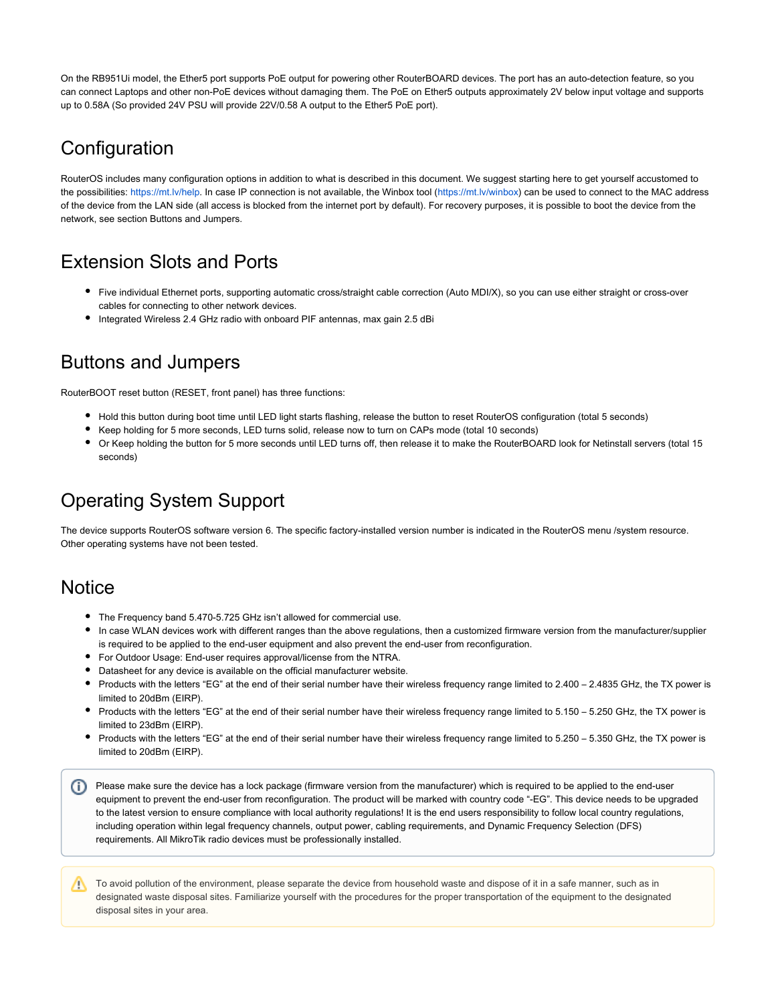On the RB951Ui model, the Ether5 port supports PoE output for powering other RouterBOARD devices. The port has an auto-detection feature, so you can connect Laptops and other non-PoE devices without damaging them. The PoE on Ether5 outputs approximately 2V below input voltage and supports up to 0.58A (So provided 24V PSU will provide 22V/0.58 A output to the Ether5 PoE port).

## **Configuration**

RouterOS includes many configuration options in addition to what is described in this document. We suggest starting here to get yourself accustomed to the possibilities: [https://mt.lv/help.](https://mt.lv/help) In case IP connection is not available, the Winbox tool [\(https://mt.lv/winbox](https://mt.lv/winbox)) can be used to connect to the MAC address of the device from the LAN side (all access is blocked from the internet port by default). For recovery purposes, it is possible to boot the device from the network, see section Buttons and Jumpers.

## Extension Slots and Ports

- Five individual Ethernet ports, supporting automatic cross/straight cable correction (Auto MDI/X), so you can use either straight or cross-over cables for connecting to other network devices.
- Integrated Wireless 2.4 GHz radio with onboard PIF antennas, max gain 2.5 dBi

### Buttons and Jumpers

RouterBOOT reset button (RESET, front panel) has three functions:

- Hold this button during boot time until LED light starts flashing, release the button to reset RouterOS configuration (total 5 seconds)
- Keep holding for 5 more seconds, LED turns solid, release now to turn on CAPs mode (total 10 seconds)
- Or Keep holding the button for 5 more seconds until LED turns off, then release it to make the RouterBOARD look for Netinstall servers (total 15 seconds)

## Operating System Support

The device supports RouterOS software version 6. The specific factory-installed version number is indicated in the RouterOS menu /system resource. Other operating systems have not been tested.

### **Notice**

- The Frequency band 5.470-5.725 GHz isn't allowed for commercial use.
- In case WLAN devices work with different ranges than the above regulations, then a customized firmware version from the manufacturer/supplier is required to be applied to the end-user equipment and also prevent the end-user from reconfiguration.
- For Outdoor Usage: End-user requires approval/license from the NTRA.
- Datasheet for any device is available on the official manufacturer website.
- Products with the letters "EG" at the end of their serial number have their wireless frequency range limited to 2.400 2.4835 GHz, the TX power is limited to 20dBm (EIRP).
- Products with the letters "EG" at the end of their serial number have their wireless frequency range limited to 5.150 5.250 GHz, the TX power is limited to 23dBm (EIRP).
- Products with the letters "EG" at the end of their serial number have their wireless frequency range limited to 5.250 5.350 GHz, the TX power is limited to 20dBm (EIRP).
- Please make sure the device has a lock package (firmware version from the manufacturer) which is required to be applied to the end-user equipment to prevent the end-user from reconfiguration. The product will be marked with country code "-EG". This device needs to be upgraded to the latest version to ensure compliance with local authority regulations! It is the end users responsibility to follow local country regulations, including operation within legal frequency channels, output power, cabling requirements, and Dynamic Frequency Selection (DFS) requirements. All MikroTik radio devices must be professionally installed.

To avoid pollution of the environment, please separate the device from household waste and dispose of it in a safe manner, such as in designated waste disposal sites. Familiarize yourself with the procedures for the proper transportation of the equipment to the designated disposal sites in your area.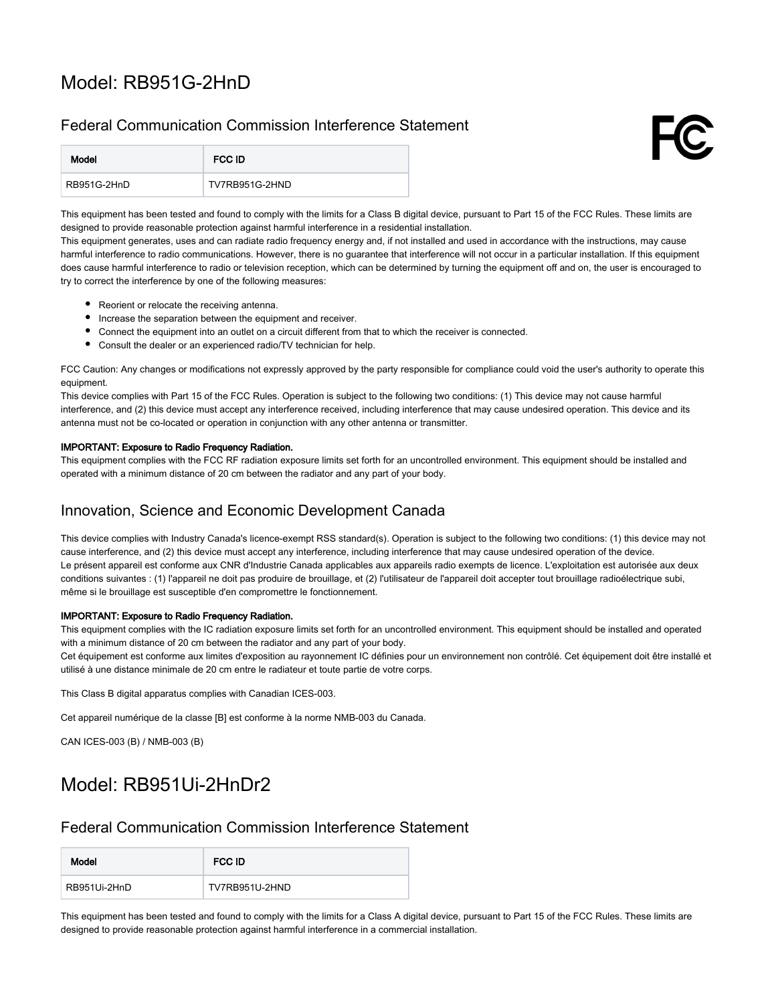## Model: [RB951G-2HnD](https://mikrotik.com/product/RB951G-2HnD)

### Federal Communication Commission Interference Statement



This equipment has been tested and found to comply with the limits for a Class B digital device, pursuant to Part 15 of the FCC Rules. These limits are designed to provide reasonable protection against harmful interference in a residential installation.

This equipment generates, uses and can radiate radio frequency energy and, if not installed and used in accordance with the instructions, may cause harmful interference to radio communications. However, there is no quarantee that interference will not occur in a particular installation. If this equipment does cause harmful interference to radio or television reception, which can be determined by turning the equipment off and on, the user is encouraged to try to correct the interference by one of the following measures:

- Reorient or relocate the receiving antenna.
- Increase the separation between the equipment and receiver.
- Connect the equipment into an outlet on a circuit different from that to which the receiver is connected.
- Consult the dealer or an experienced radio/TV technician for help.

FCC Caution: Any changes or modifications not expressly approved by the party responsible for compliance could void the user's authority to operate this equipment.

This device complies with Part 15 of the FCC Rules. Operation is subject to the following two conditions: (1) This device may not cause harmful interference, and (2) this device must accept any interference received, including interference that may cause undesired operation. This device and its antenna must not be co-located or operation in conjunction with any other antenna or transmitter.

#### IMPORTANT: Exposure to Radio Frequency Radiation.

This equipment complies with the FCC RF radiation exposure limits set forth for an uncontrolled environment. This equipment should be installed and operated with a minimum distance of 20 cm between the radiator and any part of your body.

### Innovation, Science and Economic Development Canada

This device complies with Industry Canada's licence-exempt RSS standard(s). Operation is subject to the following two conditions: (1) this device may not cause interference, and (2) this device must accept any interference, including interference that may cause undesired operation of the device. Le présent appareil est conforme aux CNR d'Industrie Canada applicables aux appareils radio exempts de licence. L'exploitation est autorisée aux deux conditions suivantes : (1) l'appareil ne doit pas produire de brouillage, et (2) l'utilisateur de l'appareil doit accepter tout brouillage radioélectrique subi, même si le brouillage est susceptible d'en compromettre le fonctionnement.

#### IMPORTANT: Exposure to Radio Frequency Radiation.

This equipment complies with the IC radiation exposure limits set forth for an uncontrolled environment. This equipment should be installed and operated with a minimum distance of 20 cm between the radiator and any part of your body.

Cet équipement est conforme aux limites d'exposition au rayonnement IC définies pour un environnement non contrôlé. Cet équipement doit être installé et utilisé à une distance minimale de 20 cm entre le radiateur et toute partie de votre corps.

This Class B digital apparatus complies with Canadian ICES-003.

Cet appareil numérique de la classe [B] est conforme à la norme NMB-003 du Canada.

CAN ICES-003 (B) / NMB-003 (B)

### Model: RB951Ui-2HnDr2

#### Federal Communication Commission Interference Statement

| Model        | FCC ID         |
|--------------|----------------|
| RB951Ui-2HnD | TV7RB951U-2HND |

This equipment has been tested and found to comply with the limits for a Class A digital device, pursuant to Part 15 of the FCC Rules. These limits are designed to provide reasonable protection against harmful interference in a commercial installation.

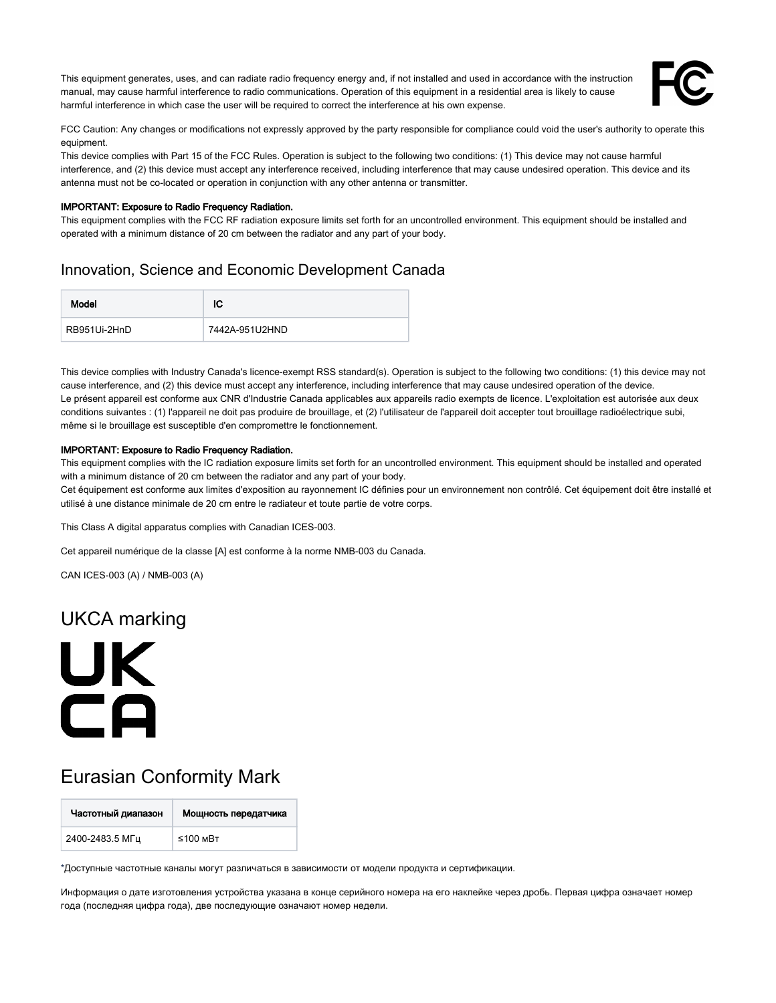This equipment generates, uses, and can radiate radio frequency energy and, if not installed and used in accordance with the instruction manual, may cause harmful interference to radio communications. Operation of this equipment in a residential area is likely to cause harmful interference in which case the user will be required to correct the interference at his own expense.



FCC Caution: Any changes or modifications not expressly approved by the party responsible for compliance could void the user's authority to operate this equipment.

This device complies with Part 15 of the FCC Rules. Operation is subject to the following two conditions: (1) This device may not cause harmful interference, and (2) this device must accept any interference received, including interference that may cause undesired operation. This device and its antenna must not be co-located or operation in conjunction with any other antenna or transmitter.

#### IMPORTANT: Exposure to Radio Frequency Radiation.

This equipment complies with the FCC RF radiation exposure limits set forth for an uncontrolled environment. This equipment should be installed and operated with a minimum distance of 20 cm between the radiator and any part of your body.

### Innovation, Science and Economic Development Canada

| Model        | ΙC             |
|--------------|----------------|
| RB951Ui-2HnD | 7442A-951U2HND |

This device complies with Industry Canada's licence-exempt RSS standard(s). Operation is subject to the following two conditions: (1) this device may not cause interference, and (2) this device must accept any interference, including interference that may cause undesired operation of the device. Le présent appareil est conforme aux CNR d'Industrie Canada applicables aux appareils radio exempts de licence. L'exploitation est autorisée aux deux conditions suivantes : (1) l'appareil ne doit pas produire de brouillage, et (2) l'utilisateur de l'appareil doit accepter tout brouillage radioélectrique subi, même si le brouillage est susceptible d'en compromettre le fonctionnement.

#### IMPORTANT: Exposure to Radio Frequency Radiation.

This equipment complies with the IC radiation exposure limits set forth for an uncontrolled environment. This equipment should be installed and operated with a minimum distance of 20 cm between the radiator and any part of your body.

Cet équipement est conforme aux limites d'exposition au rayonnement IC définies pour un environnement non contrôlé. Cet équipement doit être installé et utilisé à une distance minimale de 20 cm entre le radiateur et toute partie de votre corps.

This Class A digital apparatus complies with Canadian ICES-003.

Cet appareil numérique de la classe [A] est conforme à la norme NMB-003 du Canada.

CAN ICES-003 (A) / NMB-003 (A)

### UKCA marking



## Eurasian Conformity Mark

| Частотный диапазон | Мощность передатчика |
|--------------------|----------------------|
| 2400-2483.5 МГц    | $≤100$ MBT           |

\*Доступные частотные каналы могут различаться в зависимости от модели продукта и сертификации.

Информация о дате изготовления устройства указана в конце серийного номера на его наклейке через дробь. Первая цифра означает номер года (последняя цифра года), две последующие означают номер недели.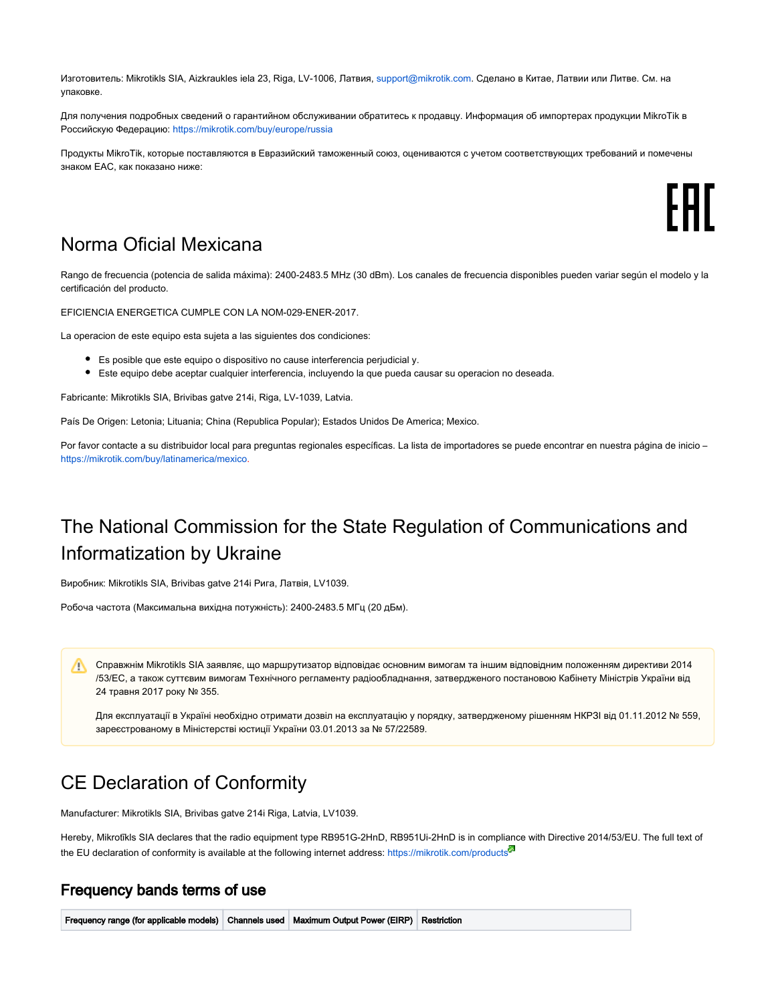Изготовитель: Mikrotikls SIA, Aizkraukles iela 23, Riga, LV-1006, Латвия, [support@mikrotik.com.](mailto:support@mikrotik.com) Сделано в Китае, Латвии или Литве. Cм. на упаковке.

Для получения подробных сведений о гарантийном обслуживании обратитесь к продавцу. Информация об импортерах продукции MikroTik в Российскую Федерацию: <https://mikrotik.com/buy/europe/russia>

Продукты MikroTik, которые поставляются в Евразийский таможенный союз, оцениваются с учетом соответствующих требований и помечены знаком EAC, как показано ниже:

### Norma Oficial Mexicana

Rango de frecuencia (potencia de salida máxima): 2400-2483.5 MHz (30 dBm). Los canales de frecuencia disponibles pueden variar según el modelo y la certificación del producto.

EFICIENCIA ENERGETICA CUMPLE CON LA NOM-029-ENER-2017.

La operacion de este equipo esta sujeta a las siguientes dos condiciones:

- Es posible que este equipo o dispositivo no cause interferencia perjudicial y.
- Este equipo debe aceptar cualquier interferencia, incluyendo la que pueda causar su operacion no deseada.

Fabricante: Mikrotikls SIA, Brivibas gatve 214i, Riga, LV-1039, Latvia.

País De Origen: Letonia; Lituania; China (Republica Popular); Estados Unidos De America; Mexico.

Por favor contacte a su distribuidor local para preguntas regionales específicas. La lista de importadores se puede encontrar en nuestra página de inicio – <https://mikrotik.com/buy/latinamerica/mexico>.

## The National Commission for the State Regulation of Communications and Informatization by Ukraine

Виробник: Mikrotikls SIA, Brivibas gatve 214i Рига, Латвія, LV1039.

Робоча частота (Максимальна вихідна потужність): 2400-2483.5 МГц (20 дБм).

Λ Справжнім Mikrotikls SIA заявляє, що маршрутизатор відповідає основним вимогам та іншим відповідним положенням директиви 2014 /53/EC, а також суттєвим вимогам Технічного регламенту радіообладнання, затвердженого постановою Кабінету Міністрів України від 24 травня 2017 року № 355.

Для експлуатації в Україні необхідно отримати дозвіл на експлуатацію у порядку, затвердженому рішенням НКРЗІ від 01.11.2012 № 559, зареєстрованому в Міністерстві юстиції України 03.01.2013 за № 57/22589.

### CE Declaration of Conformity

Manufacturer: Mikrotikls SIA, Brivibas gatve 214i Riga, Latvia, LV1039.

Hereby, Mikrotīkls SIA declares that the radio equipment type [RB951G-2HnD,](https://mikrotik.com/product/RB951G-2HnD) RB951Ui-2HnD is in compliance with Directive 2014/53/EU. The full text of the EU declaration of conformity is available at the following internet address: <https://mikrotik.com/products><sup>&</sup>

#### Frequency bands terms of use